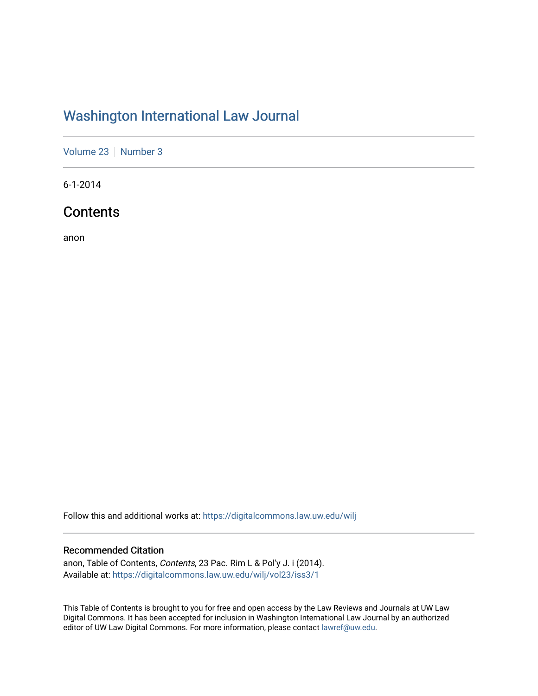# [Washington International Law Journal](https://digitalcommons.law.uw.edu/wilj)

[Volume 23](https://digitalcommons.law.uw.edu/wilj/vol23) | [Number 3](https://digitalcommons.law.uw.edu/wilj/vol23/iss3)

6-1-2014

# **Contents**

anon

Follow this and additional works at: [https://digitalcommons.law.uw.edu/wilj](https://digitalcommons.law.uw.edu/wilj?utm_source=digitalcommons.law.uw.edu%2Fwilj%2Fvol23%2Fiss3%2F1&utm_medium=PDF&utm_campaign=PDFCoverPages) 

#### Recommended Citation

anon, Table of Contents, Contents, 23 Pac. Rim L & Pol'y J. i (2014). Available at: [https://digitalcommons.law.uw.edu/wilj/vol23/iss3/1](https://digitalcommons.law.uw.edu/wilj/vol23/iss3/1?utm_source=digitalcommons.law.uw.edu%2Fwilj%2Fvol23%2Fiss3%2F1&utm_medium=PDF&utm_campaign=PDFCoverPages) 

This Table of Contents is brought to you for free and open access by the Law Reviews and Journals at UW Law Digital Commons. It has been accepted for inclusion in Washington International Law Journal by an authorized editor of UW Law Digital Commons. For more information, please contact [lawref@uw.edu](mailto:lawref@uw.edu).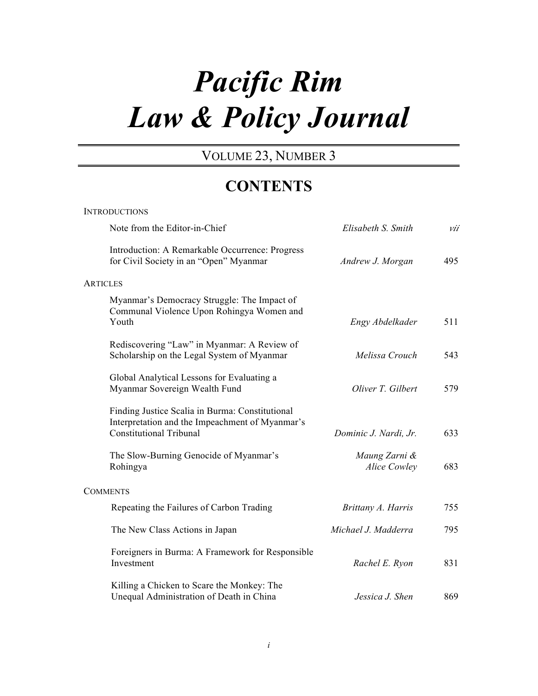# *Pacific Rim Law & Policy Journal*

# VOLUME 23, NUMBER 3

# **CONTENTS**

| <b>INTRODUCTIONS</b>                                                                                                                 |                               |     |  |
|--------------------------------------------------------------------------------------------------------------------------------------|-------------------------------|-----|--|
| Note from the Editor-in-Chief                                                                                                        | Elisabeth S. Smith            | vii |  |
| Introduction: A Remarkable Occurrence: Progress<br>for Civil Society in an "Open" Myanmar                                            | Andrew J. Morgan              | 495 |  |
| ARTICLES                                                                                                                             |                               |     |  |
| Myanmar's Democracy Struggle: The Impact of<br>Communal Violence Upon Rohingya Women and<br>Youth                                    | Engy Abdelkader               | 511 |  |
| Rediscovering "Law" in Myanmar: A Review of<br>Scholarship on the Legal System of Myanmar                                            | Melissa Crouch                | 543 |  |
| Global Analytical Lessons for Evaluating a<br>Myanmar Sovereign Wealth Fund                                                          | Oliver T. Gilbert             | 579 |  |
| Finding Justice Scalia in Burma: Constitutional<br>Interpretation and the Impeachment of Myanmar's<br><b>Constitutional Tribunal</b> | Dominic J. Nardi, Jr.         | 633 |  |
| The Slow-Burning Genocide of Myanmar's<br>Rohingya                                                                                   | Maung Zarni &<br>Alice Cowley | 683 |  |
| <b>COMMENTS</b>                                                                                                                      |                               |     |  |
| Repeating the Failures of Carbon Trading                                                                                             | Brittany A. Harris            | 755 |  |
| The New Class Actions in Japan                                                                                                       | Michael J. Madderra           | 795 |  |
| Foreigners in Burma: A Framework for Responsible<br>Investment                                                                       | Rachel E. Ryon                | 831 |  |
| Killing a Chicken to Scare the Monkey: The<br>Unequal Administration of Death in China                                               | Jessica J. Shen               | 869 |  |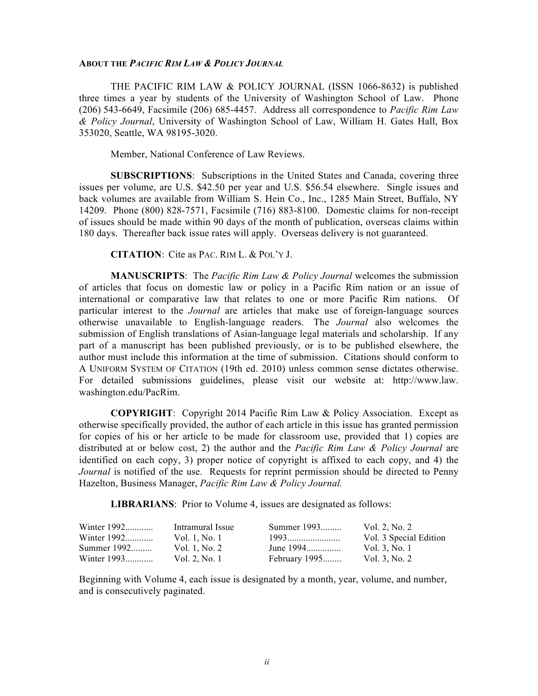#### **ABOUT THE** *PACIFIC RIM LAW & POLICY JOURNAL*

THE PACIFIC RIM LAW & POLICY JOURNAL (ISSN 1066-8632) is published three times a year by students of the University of Washington School of Law. Phone (206) 543-6649, Facsimile (206) 685-4457. Address all correspondence to *Pacific Rim Law & Policy Journal*, University of Washington School of Law, William H. Gates Hall, Box 353020, Seattle, WA 98195-3020.

Member, National Conference of Law Reviews.

**SUBSCRIPTIONS**: Subscriptions in the United States and Canada, covering three issues per volume, are U.S. \$42.50 per year and U.S. \$56.54 elsewhere. Single issues and back volumes are available from William S. Hein Co., Inc., 1285 Main Street, Buffalo, NY 14209. Phone (800) 828-7571, Facsimile (716) 883-8100. Domestic claims for non-receipt of issues should be made within 90 days of the month of publication, overseas claims within 180 days. Thereafter back issue rates will apply. Overseas delivery is not guaranteed.

**CITATION**: Cite as PAC. RIM L. & POL'Y J.

**MANUSCRIPTS**:The *Pacific Rim Law & Policy Journal* welcomes the submission of articles that focus on domestic law or policy in a Pacific Rim nation or an issue of international or comparative law that relates to one or more Pacific Rim nations. Of particular interest to the *Journal* are articles that make use of foreign-language sources otherwise unavailable to English-language readers. The *Journal* also welcomes the submission of English translations of Asian-language legal materials and scholarship. If any part of a manuscript has been published previously, or is to be published elsewhere, the author must include this information at the time of submission. Citations should conform to A UNIFORM SYSTEM OF CITATION (19th ed. 2010) unless common sense dictates otherwise. For detailed submissions guidelines, please visit our website at: http://www.law. washington.edu/PacRim.

**COPYRIGHT**: Copyright 2014 Pacific Rim Law & Policy Association. Except as otherwise specifically provided, the author of each article in this issue has granted permission for copies of his or her article to be made for classroom use, provided that 1) copies are distributed at or below cost, 2) the author and the *Pacific Rim Law & Policy Journal* are identified on each copy, 3) proper notice of copyright is affixed to each copy, and 4) the *Journal* is notified of the use. Requests for reprint permission should be directed to Penny Hazelton, Business Manager, *Pacific Rim Law & Policy Journal.*

**LIBRARIANS**: Prior to Volume 4, issues are designated as follows:

| Winter 1992 | Intramural Issue | Summer 1993   | Vol. 2, No. 2          |
|-------------|------------------|---------------|------------------------|
| Winter 1992 | Vol. 1, No. 1    | <u>1993</u>   | Vol. 3 Special Edition |
| Summer 1992 | Vol. 1, No. 2    | June 1994     | Vol. 3. No. 1          |
| Winter 1993 | Vol. 2. No. 1    | February 1995 | Vol. 3, No. 2          |

Beginning with Volume 4, each issue is designated by a month, year, volume, and number, and is consecutively paginated.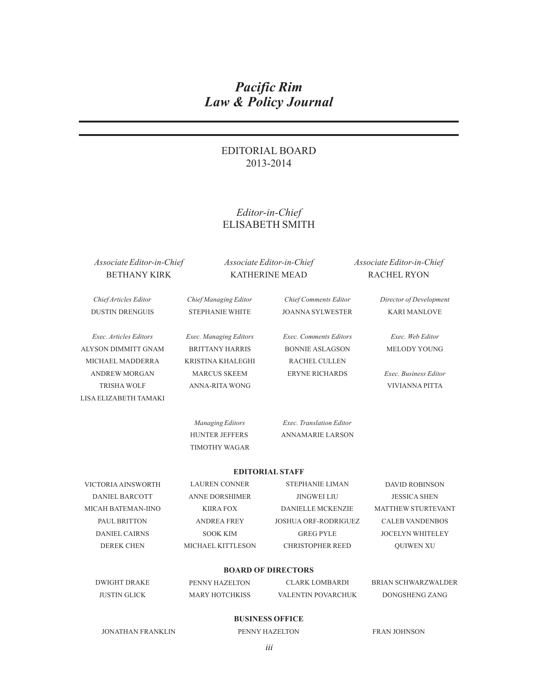# *Pacific Rim Law & Policy Journal*

# EDITORIAL BOARD 2013-2014

# *Editor-in-Chief* ELISABETH SMITH

### *Associate Editor-in-Chief* BETHANY KIRK

*Associate Editor-in-Chief* KATHERINE MEAD

*Associate Editor-in-Chief* RACHEL RYON

*Chief Articles Editor* DUSTIN DRENGUIS *Chief Managing Editor* STEPHANIE WHITE *Chief Comments Editor* JOANNA SYLWESTER *Director of Development* KARI MANLOVE *Exec. Articles Editors* ALYSON DIMMITT GNAM MICHAEL MADDERRA ANDREW MORGAN TRISHA WOLF LISA ELIZABETH TAMAKI *Exec. Managing Editors* BRITTANY HARRIS KRISTINA KHALEGHI MARCUS SKEEM ANNA-RITA WONG *Exec. Comments Editors* BONNIE ASLAGSON RACHEL CULLEN ERYNE RICHARDS *Exec. Web Editor* MELODY YOUNG *Exec. Business Editor* VIVIANNA PITTA *Managing Editors* HUNTER JEFFERS TIMOTHY WAGAR *Exec. Translation Editor* ANNAMARIE LARSON VICTORIA AINSWORTH DANIEL BARCOTT MICAH BATEMAN-IINO PAUL BRITTON DANIEL CAIRNS DEREK CHEN **EDITORIAL STAFF** LAUREN CONNER STEPHANIE LIMAN ANNE DORSHIMER JINGWEI LIU KIIRA FOX DANIELLE MCKENZIE ANDREA FREY JOSHUA ORF-RODRIGUEZ SOOK KIM GREG PYLE MICHAEL KITTLESON CHRISTOPHER REED DAVID ROBINSON JESSICA SHEN MATTHEW STURTEVANT CALEB VANDENBOS JOCELYN WHITELEY QUIWEN XU DWIGHT DRAKE JUSTIN GLICK **BOARD OF DIRECTORS** PENNY HAZELTON MARY HOTCHKISS CLARK LOMBARDI VALENTIN POVARCHUK BRIAN SCHWARZWALDER DONGSHENG ZANG **BUSINESS OFFICE**

JONATHAN FRANKLIN PENNY HAZELTON FRAN JOHNSON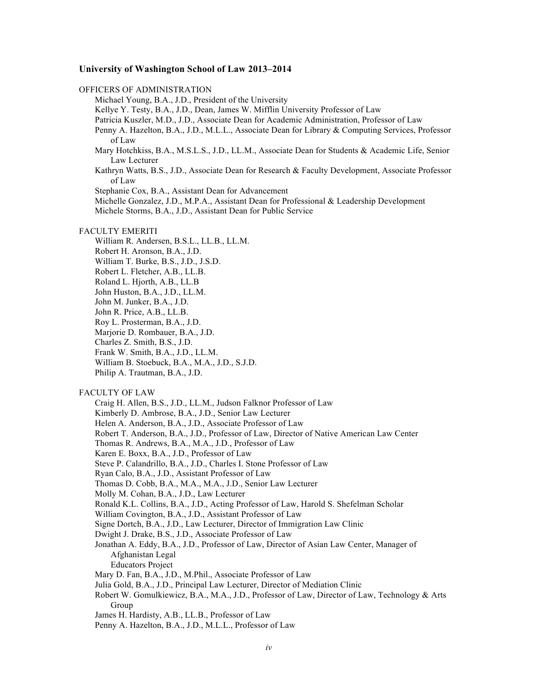#### **University of Washington School of Law 2013–2014**

OFFICERS OF ADMINISTRATION Michael Young, B.A., J.D., President of the University Kellye Y. Testy, B.A., J.D., Dean, James W. Mifflin University Professor of Law Patricia Kuszler, M.D., J.D., Associate Dean for Academic Administration, Professor of Law Penny A. Hazelton, B.A., J.D., M.L.L., Associate Dean for Library & Computing Services, Professor of Law Mary Hotchkiss, B.A., M.S.L.S., J.D., LL.M., Associate Dean for Students & Academic Life, Senior Law Lecturer Kathryn Watts, B.S., J.D., Associate Dean for Research & Faculty Development, Associate Professor of Law Stephanie Cox, B.A., Assistant Dean for Advancement Michelle Gonzalez, J.D., M.P.A., Assistant Dean for Professional & Leadership Development Michele Storms, B.A., J.D., Assistant Dean for Public Service FACULTY EMERITI William R. Andersen, B.S.L., LL.B., LL.M. Robert H. Aronson, B.A., J.D. William T. Burke, B.S., J.D., J.S.D. Robert L. Fletcher, A.B., LL.B. Roland L. Hjorth, A.B., LL.B John Huston, B.A., J.D., LL.M. John M. Junker, B.A., J.D. John R. Price, A.B., LL.B. Roy L. Prosterman, B.A., J.D. Marjorie D. Rombauer, B.A., J.D. Charles Z. Smith, B.S., J.D. Frank W. Smith, B.A., J.D., LL.M. William B. Stoebuck, B.A., M.A., J.D., S.J.D. Philip A. Trautman, B.A., J.D. FACULTY OF LAW Craig H. Allen, B.S., J.D., LL.M., Judson Falknor Professor of Law Kimberly D. Ambrose, B.A., J.D., Senior Law Lecturer Helen A. Anderson, B.A., J.D., Associate Professor of Law Robert T. Anderson, B.A., J.D., Professor of Law, Director of Native American Law Center Thomas R. Andrews, B.A., M.A., J.D., Professor of Law Karen E. Boxx, B.A., J.D., Professor of Law Steve P. Calandrillo, B.A., J.D., Charles I. Stone Professor of Law

- Ryan Calo, B.A., J.D., Assistant Professor of Law
- Thomas D. Cobb, B.A., M.A., M.A., J.D., Senior Law Lecturer
- Molly M. Cohan, B.A., J.D., Law Lecturer
- Ronald K.L. Collins, B.A., J.D., Acting Professor of Law, Harold S. Shefelman Scholar
- William Covington, B.A., J.D., Assistant Professor of Law
- Signe Dortch, B.A., J.D., Law Lecturer, Director of Immigration Law Clinic
- Dwight J. Drake, B.S., J.D., Associate Professor of Law
- Jonathan A. Eddy, B.A., J.D., Professor of Law, Director of Asian Law Center, Manager of Afghanistan Legal
	- Educators Project
- Mary D. Fan, B.A., J.D., M.Phil., Associate Professor of Law
- Julia Gold, B.A., J.D., Principal Law Lecturer, Director of Mediation Clinic
- Robert W. Gomulkiewicz, B.A., M.A., J.D., Professor of Law, Director of Law, Technology & Arts Group
- James H. Hardisty, A.B., LL.B., Professor of Law
- Penny A. Hazelton, B.A., J.D., M.L.L., Professor of Law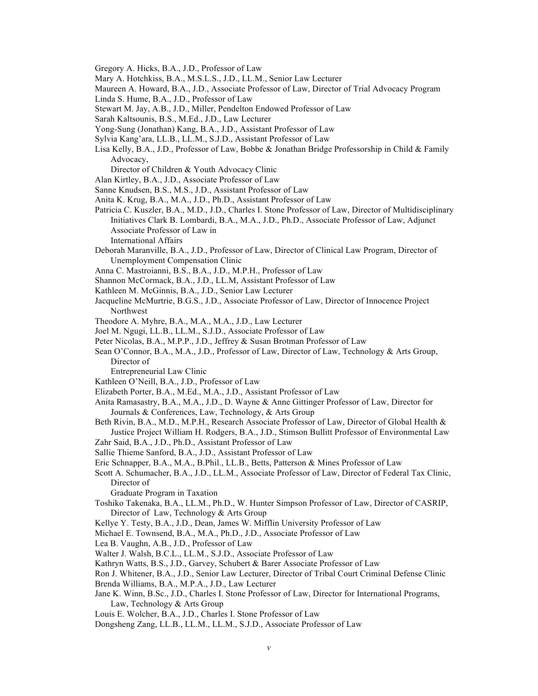Gregory A. Hicks, B.A., J.D., Professor of Law

- Mary A. Hotchkiss, B.A., M.S.L.S., J.D., LL.M., Senior Law Lecturer
- Maureen A. Howard, B.A., J.D., Associate Professor of Law, Director of Trial Advocacy Program
- Linda S. Hume, B.A., J.D., Professor of Law
- Stewart M. Jay, A.B., J.D., Miller, Pendelton Endowed Professor of Law
- Sarah Kaltsounis, B.S., M.Ed., J.D., Law Lecturer
- Yong-Sung (Jonathan) Kang, B.A., J.D., Assistant Professor of Law
- Sylvia Kang'ara, LL.B., LL.M., S.J.D., Assistant Professor of Law
- Lisa Kelly, B.A., J.D., Professor of Law, Bobbe & Jonathan Bridge Professorship in Child & Family Advocacy,
	- Director of Children & Youth Advocacy Clinic
- Alan Kirtley, B.A., J.D., Associate Professor of Law
- Sanne Knudsen, B.S., M.S., J.D., Assistant Professor of Law
- Anita K. Krug, B.A., M.A., J.D., Ph.D., Assistant Professor of Law
- Patricia C. Kuszler, B.A., M.D., J.D., Charles I. Stone Professor of Law, Director of Multidisciplinary Initiatives Clark B. Lombardi, B.A., M.A., J.D., Ph.D., Associate Professor of Law, Adjunct Associate Professor of Law in International Affairs
- Deborah Maranville, B.A., J.D., Professor of Law, Director of Clinical Law Program, Director of Unemployment Compensation Clinic
- Anna C. Mastroianni, B.S., B.A., J.D., M.P.H., Professor of Law
- Shannon McCormack, B.A., J.D., LL.M, Assistant Professor of Law
- Kathleen M. McGinnis, B.A., J.D., Senior Law Lecturer
- Jacqueline McMurtrie, B.G.S., J.D., Associate Professor of Law, Director of Innocence Project Northwest
- Theodore A. Myhre, B.A., M.A., M.A., J.D., Law Lecturer
- Joel M. Ngugi, LL.B., LL.M., S.J.D., Associate Professor of Law
- Peter Nicolas, B.A., M.P.P., J.D., Jeffrey & Susan Brotman Professor of Law
- Sean O'Connor, B.A., M.A., J.D., Professor of Law, Director of Law, Technology & Arts Group, Director of
	- Entrepreneurial Law Clinic
- Kathleen O'Neill, B.A., J.D., Professor of Law
- Elizabeth Porter, B.A., M.Ed., M.A., J.D., Assistant Professor of Law
- Anita Ramasastry, B.A., M.A., J.D., D. Wayne & Anne Gittinger Professor of Law, Director for Journals & Conferences, Law, Technology, & Arts Group
- Beth Rivin, B.A., M.D., M.P.H., Research Associate Professor of Law, Director of Global Health & Justice Project William H. Rodgers, B.A., J.D., Stimson Bullitt Professor of Environmental Law
- Zahr Said, B.A., J.D., Ph.D., Assistant Professor of Law
- Sallie Thieme Sanford, B.A., J.D., Assistant Professor of Law
- Eric Schnapper, B.A., M.A., B.Phil., LL.B., Betts, Patterson & Mines Professor of Law
- Scott A. Schumacher, B.A., J.D., LL.M., Associate Professor of Law, Director of Federal Tax Clinic, Director of

Graduate Program in Taxation

- Toshiko Takenaka, B.A., LL.M., Ph.D., W. Hunter Simpson Professor of Law, Director of CASRIP, Director of Law, Technology & Arts Group
- Kellye Y. Testy, B.A., J.D., Dean, James W. Mifflin University Professor of Law
- Michael E. Townsend, B.A., M.A., Ph.D., J.D., Associate Professor of Law
- Lea B. Vaughn, A.B., J.D., Professor of Law
- Walter J. Walsh, B.C.L., LL.M., S.J.D., Associate Professor of Law
- Kathryn Watts, B.S., J.D., Garvey, Schubert & Barer Associate Professor of Law
- Ron J. Whitener, B.A., J.D., Senior Law Lecturer, Director of Tribal Court Criminal Defense Clinic Brenda Williams, B.A., M.P.A., J.D., Law Lecturer
- Jane K. Winn, B.Sc., J.D., Charles I. Stone Professor of Law, Director for International Programs, Law, Technology & Arts Group
- Louis E. Wolcher, B.A., J.D., Charles I. Stone Professor of Law
- Dongsheng Zang, LL.B., LL.M., LL.M., S.J.D., Associate Professor of Law